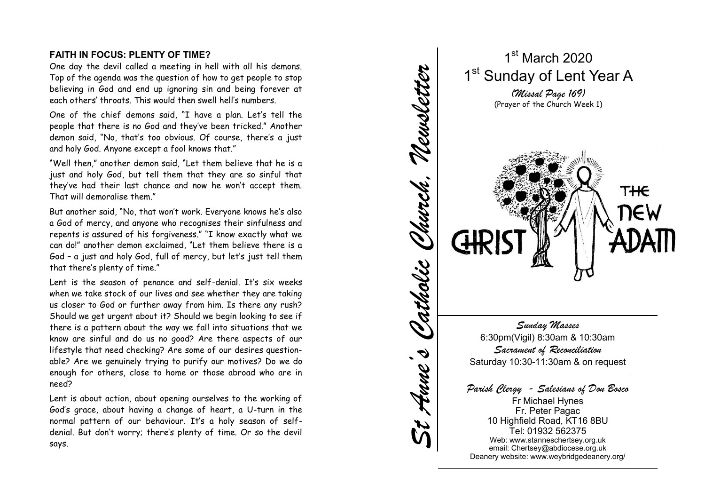## **FAITH IN FOCUS: PLENTY OF TIME?**

One day the devil called a meeting in hell with all his demons. Top of the agenda was the question of how to get people to stop believing in God and end up ignoring sin and being forever at each others' throats. This would then swell hell's numbers.

One of the chief demons said, "I have a plan. Let's tell the people that there is no God and they've been tricked." Another demon said, "No, that's too obvious. Of course, there's a just and holy God. Anyone except a fool knows that."

"Well then," another demon said, "Let them believe that he is a just and holy God, but tell them that they are so sinful that they've had their last chance and now he won't accept them. That will demoralise them."

But another said, "No, that won't work. Everyone knows he's also a God of mercy, and anyone who recognises their sinfulness and repents is assured of his forgiveness." "I know exactly what we can do!" another demon exclaimed, "Let them believe there is a God – a just and holy God, full of mercy, but let's just tell them that there's plenty of time."

Lent is the season of penance and self -denial. It's six weeks when we take stock of our lives and see whether they are taking us closer to God or further away from him. Is there any rush? Should we get urgent about it? Should we begin looking to see if there is a pattern about the way we fall into situations that we know are sinful and do us no good? Are there aspects of our lifestyle that need checking? Are some of our desires question able? Are we genuinely trying to purify our motives? Do we do enough for others, close to home or those abroad who are in need?

Lent is about action, about opening ourselves to the working of God's grace, about having a change of heart, a U -turn in the normal pattern of our behaviour. It's a holy season of self denial. But don't worry; there's plenty of time. Or so the devil says.